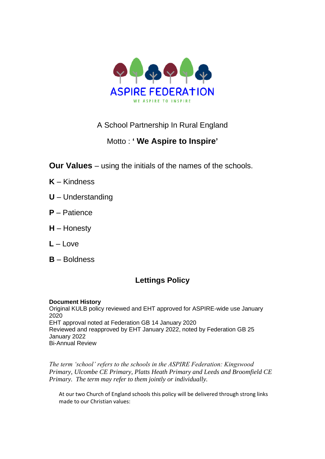

# A School Partnership In Rural England

# Motto : **' We Aspire to Inspire'**

- **Our Values** using the initials of the names of the schools.
- **K** Kindness
- **U** Understanding
- **P** Patience
- **H** Honesty
- $L L$ ove
- **B** Boldness

# **Lettings Policy**

# **Document History**

Original KULB policy reviewed and EHT approved for ASPIRE-wide use January 2020 EHT approval noted at Federation GB 14 January 2020 Reviewed and reapproved by EHT January 2022, noted by Federation GB 25 January 2022 Bi-Annual Review

*The term 'school' refers to the schools in the ASPIRE Federation: Kingswood Primary, Ulcombe CE Primary, Platts Heath Primary and Leeds and Broomfield CE Primary. The term may refer to them jointly or individually.*

At our two Church of England schools this policy will be delivered through strong links made to our Christian values: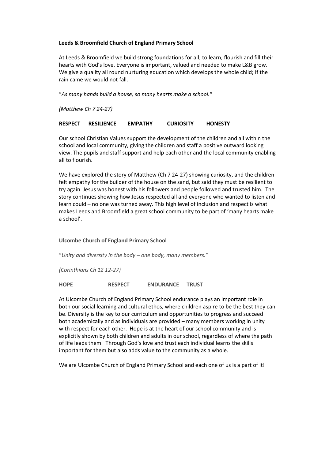# **Leeds & Broomfield Church of England Primary School**

At Leeds & Broomfield we build strong foundations for all; to learn, flourish and fill their hearts with God's love. Everyone is important, valued and needed to make L&B grow. We give a quality all round nurturing education which develops the whole child; If the rain came we would not fall.

"*As many hands build a house, so many hearts make a school."*

*(Matthew Ch 7 24-27)*

# **RESPECT RESILIENCE EMPATHY CURIOSITY HONESTY**

Our school Christian Values support the development of the children and all within the school and local community, giving the children and staff a positive outward looking view. The pupils and staff support and help each other and the local community enabling all to flourish.

We have explored the story of Matthew (Ch 7 24-27) showing curiosity, and the children felt empathy for the builder of the house on the sand, but said they must be resilient to try again. Jesus was honest with his followers and people followed and trusted him. The story continues showing how Jesus respected all and everyone who wanted to listen and learn could – no one was turned away. This high level of inclusion and respect is what makes Leeds and Broomfield a great school community to be part of 'many hearts make a school'.

**Ulcombe Church of England Primary School**

"*Unity and diversity in the body – one body, many members."*

*(Corinthians Ch 12 12-27)*

**HOPE RESPECT ENDURANCE TRUST**

At Ulcombe Church of England Primary School endurance plays an important role in both our social learning and cultural ethos, where children aspire to be the best they can be. Diversity is the key to our curriculum and opportunities to progress and succeed both academically and as individuals are provided – many members working in unity with respect for each other. Hope is at the heart of our school community and is explicitly shown by both children and adults in our school, regardless of where the path of life leads them. Through God's love and trust each individual learns the skills important for them but also adds value to the community as a whole.

We are Ulcombe Church of England Primary School and each one of us is a part of it!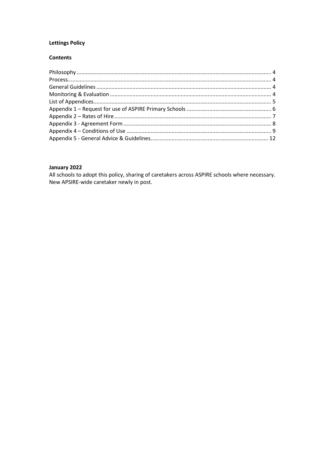# **Lettings Policy**

# **Contents**

# January 2022

All schools to adopt this policy, sharing of caretakers across ASPIRE schools where necessary. New APSIRE-wide caretaker newly in post.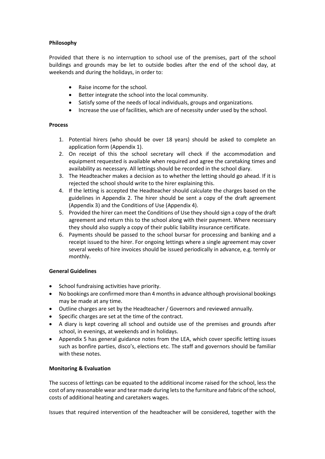# <span id="page-3-0"></span>**Philosophy**

Provided that there is no interruption to school use of the premises, part of the school buildings and grounds may be let to outside bodies after the end of the school day, at weekends and during the holidays, in order to:

- Raise income for the school.
- Better integrate the school into the local community.
- Satisfy some of the needs of local individuals, groups and organizations.
- Increase the use of facilities, which are of necessity under used by the school.

# <span id="page-3-1"></span>**Process**

- 1. Potential hirers (who should be over 18 years) should be asked to complete an application form (Appendix 1).
- 2. On receipt of this the school secretary will check if the accommodation and equipment requested is available when required and agree the caretaking times and availability as necessary. All lettings should be recorded in the school diary.
- 3. The Headteacher makes a decision as to whether the letting should go ahead. If it is rejected the school should write to the hirer explaining this.
- 4. If the letting is accepted the Headteacher should calculate the charges based on the guidelines in Appendix 2. The hirer should be sent a copy of the draft agreement (Appendix 3) and the Conditions of Use (Appendix 4).
- 5. Provided the hirer can meet the Conditions of Use they should sign a copy of the draft agreement and return this to the school along with their payment. Where necessary they should also supply a copy of their public liability insurance certificate.
- 6. Payments should be passed to the school bursar for processing and banking and a receipt issued to the hirer. For ongoing lettings where a single agreement may cover several weeks of hire invoices should be issued periodically in advance, e.g. termly or monthly.

# <span id="page-3-2"></span>**General Guidelines**

- School fundraising activities have priority.
- No bookings are confirmed more than 4 months in advance although provisional bookings may be made at any time.
- Outline charges are set by the Headteacher / Governors and reviewed annually.
- Specific charges are set at the time of the contract.
- A diary is kept covering all school and outside use of the premises and grounds after school, in evenings, at weekends and in holidays.
- Appendix 5 has general guidance notes from the LEA, which cover specific letting issues such as bonfire parties, disco's, elections etc. The staff and governors should be familiar with these notes.

# <span id="page-3-3"></span>**Monitoring & Evaluation**

The success of lettings can be equated to the additional income raised for the school, less the cost of any reasonable wear and tear made during lets to the furniture and fabric of the school, costs of additional heating and caretakers wages.

Issues that required intervention of the headteacher will be considered, together with the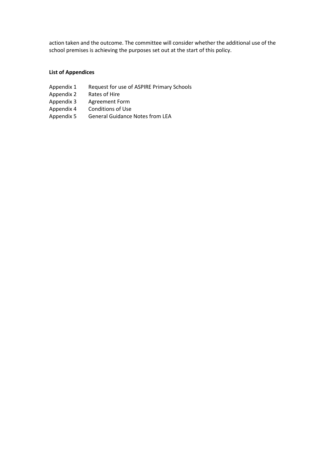action taken and the outcome. The committee will consider whether the additional use of the school premises is achieving the purposes set out at the start of this policy.

# <span id="page-4-0"></span>**List of Appendices**

- Appendix 1 Request for use of ASPIRE Primary Schools<br>Appendix 2 Rates of Hire
- Rates of Hire
- Appendix 3 Agreement Form
- Appendix 4 Conditions of Use
- Appendix 5 General Guidance Notes from LEA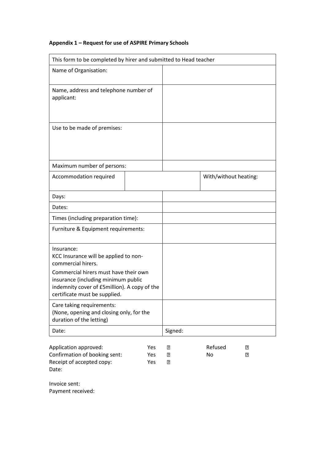# <span id="page-5-0"></span>**Appendix 1 – Request for use of ASPIRE Primary Schools**

| This form to be completed by hirer and submitted to Head teacher                                                                                                                                                                           |                   |             |                       |        |
|--------------------------------------------------------------------------------------------------------------------------------------------------------------------------------------------------------------------------------------------|-------------------|-------------|-----------------------|--------|
| Name of Organisation:                                                                                                                                                                                                                      |                   |             |                       |        |
| Name, address and telephone number of<br>applicant:                                                                                                                                                                                        |                   |             |                       |        |
| Use to be made of premises:                                                                                                                                                                                                                |                   |             |                       |        |
| Maximum number of persons:                                                                                                                                                                                                                 |                   |             |                       |        |
| Accommodation required                                                                                                                                                                                                                     |                   |             | With/without heating: |        |
| Days:                                                                                                                                                                                                                                      |                   |             |                       |        |
| Dates:                                                                                                                                                                                                                                     |                   |             |                       |        |
| Times (including preparation time):                                                                                                                                                                                                        |                   |             |                       |        |
| Furniture & Equipment requirements:                                                                                                                                                                                                        |                   |             |                       |        |
| Insurance:<br>KCC Insurance will be applied to non-<br>commercial hirers.<br>Commercial hirers must have their own<br>insurance (including minimum public<br>indemnity cover of £5million). A copy of the<br>certificate must be supplied. |                   |             |                       |        |
| Care taking requirements:<br>(None, opening and closing only, for the<br>duration of the letting)                                                                                                                                          |                   |             |                       |        |
| Date:                                                                                                                                                                                                                                      |                   | Signed:     |                       |        |
| Application approved:<br>Confirmation of booking sent:<br>Receipt of accepted copy:                                                                                                                                                        | Yes<br>Yes<br>Yes | 3<br>2<br>3 | Refused<br>No         | R<br>R |

<span id="page-5-1"></span>Invoice sent: Payment received:

Date: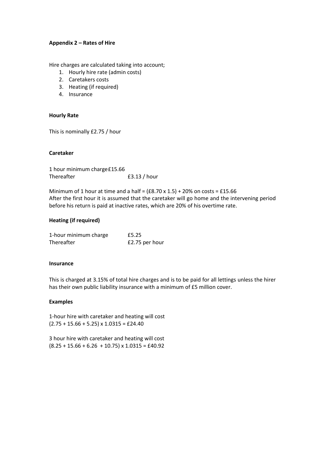## **Appendix 2 – Rates of Hire**

Hire charges are calculated taking into account;

- 1. Hourly hire rate (admin costs)
- 2. Caretakers costs
- 3. Heating (if required)
- 4. Insurance

#### **Hourly Rate**

This is nominally £2.75 / hour

#### **Caretaker**

1 hour minimum charge£15.66 Thereafter E3.13 / hour

Minimum of 1 hour at time and a half =  $(£8.70 \times 1.5) + 20\%$  on costs = £15.66 After the first hour it is assumed that the caretaker will go home and the intervening period before his return is paid at inactive rates, which are 20% of his overtime rate.

#### **Heating (if required)**

| 1-hour minimum charge | £5.25          |
|-----------------------|----------------|
| Thereafter            | £2.75 per hour |

#### **Insurance**

This is charged at 3.15% of total hire charges and is to be paid for all lettings unless the hirer has their own public liability insurance with a minimum of £5 million cover.

#### **Examples**

1-hour hire with caretaker and heating will cost  $(2.75 + 15.66 + 5.25) \times 1.0315 = \text{\textsterling}24.40$ 

3 hour hire with caretaker and heating will cost  $(8.25 + 15.66 + 6.26 + 10.75) \times 1.0315 = \text{\textsterling}40.92$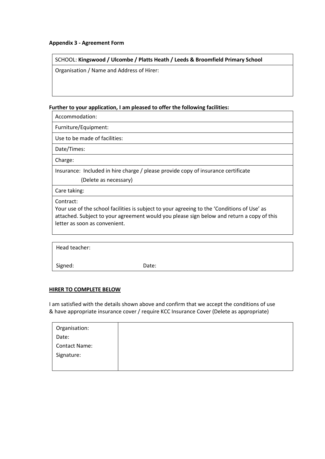# <span id="page-7-0"></span>**Appendix 3 - Agreement Form**

# SCHOOL: **Kingswood / Ulcombe / Platts Heath / Leeds & Broomfield Primary School**

Organisation / Name and Address of Hirer:

# **Further to your application, I am pleased to offer the following facilities:**

Accommodation:

Furniture/Equipment:

Use to be made of facilities:

Date/Times:

Charge:

Insurance: Included in hire charge / please provide copy of insurance certificate (Delete as necessary)

Care taking:

Contract:

Your use of the school facilities is subject to your agreeing to the 'Conditions of Use' as attached. Subject to your agreement would you please sign below and return a copy of this letter as soon as convenient.

| Head teacher: |       |
|---------------|-------|
| Signed:       | Date: |

# **HIRER TO COMPLETE BELOW**

I am satisfied with the details shown above and confirm that we accept the conditions of use & have appropriate insurance cover / require KCC Insurance Cover (Delete as appropriate)

| Organisation:        |  |
|----------------------|--|
| Date:                |  |
| <b>Contact Name:</b> |  |
| Signature:           |  |
|                      |  |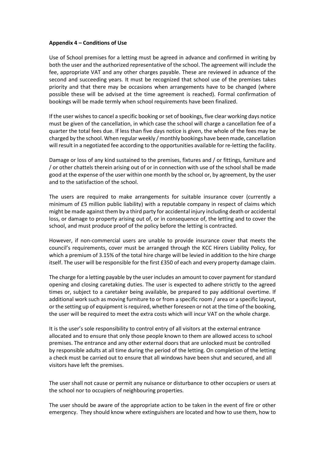#### <span id="page-8-0"></span>**Appendix 4 – Conditions of Use**

Use of School premises for a letting must be agreed in advance and confirmed in writing by both the user and the authorized representative of the school. The agreement will include the fee, appropriate VAT and any other charges payable. These are reviewed in advance of the second and succeeding years. It must be recognized that school use of the premises takes priority and that there may be occasions when arrangements have to be changed (where possible these will be advised at the time agreement is reached). Formal confirmation of bookings will be made termly when school requirements have been finalized.

If the user wishes to cancel a specific booking or set of bookings, five clear working days notice must be given of the cancellation, in which case the school will charge a cancellation fee of a quarter the total fees due. If less than five days notice is given, the whole of the fees may be charged by the school. When regular weekly / monthly bookings have been made, cancellation will result in a negotiated fee according to the opportunities available for re-letting the facility.

Damage or loss of any kind sustained to the premises, fixtures and / or fittings, furniture and / or other chattels therein arising out of or in connection with use of the school shall be made good at the expense of the user within one month by the school or, by agreement, by the user and to the satisfaction of the school.

The users are required to make arrangements for suitable insurance cover (currently a minimum of £5 million public liability) with a reputable company in respect of claims which might be made against them by a third party for accidental injury including death or accidental loss, or damage to property arising out of, or in consequence of, the letting and to cover the school, and must produce proof of the policy before the letting is contracted.

However, if non-commercial users are unable to provide insurance cover that meets the council's requirements, cover must be arranged through the KCC Hirers Liability Policy, for which a premium of 3.15% of the total hire charge will be levied in addition to the hire charge itself. The user will be responsible for the first £350 of each and every property damage claim.

The charge for a letting payable by the user includes an amount to cover payment for standard opening and closing caretaking duties. The user is expected to adhere strictly to the agreed times or, subject to a caretaker being available, be prepared to pay additional overtime. If additional work such as moving furniture to or from a specific room / area or a specific layout, or the setting up of equipment is required, whether foreseen or not at the time of the booking, the user will be required to meet the extra costs which will incur VAT on the whole charge.

It is the user's sole responsibility to control entry of all visitors at the external entrance allocated and to ensure that only those people known to them are allowed access to school premises. The entrance and any other external doors that are unlocked must be controlled by responsible adults at all time during the period of the letting. On completion of the letting a check must be carried out to ensure that all windows have been shut and secured, and all visitors have left the premises.

The user shall not cause or permit any nuisance or disturbance to other occupiers or users at the school nor to occupiers of neighbouring properties.

The user should be aware of the appropriate action to be taken in the event of fire or other emergency. They should know where extinguishers are located and how to use them, how to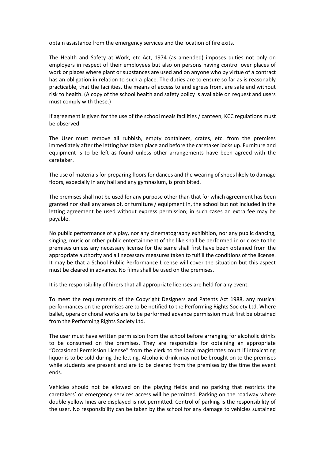obtain assistance from the emergency services and the location of fire exits.

The Health and Safety at Work, etc Act, 1974 (as amended) imposes duties not only on employers in respect of their employees but also on persons having control over places of work or places where plant or substances are used and on anyone who by virtue of a contract has an obligation in relation to such a place. The duties are to ensure so far as is reasonably practicable, that the facilities, the means of access to and egress from, are safe and without risk to health. (A copy of the school health and safety policy is available on request and users must comply with these.)

If agreement is given for the use of the school meals facilities / canteen, KCC regulations must be observed.

The User must remove all rubbish, empty containers, crates, etc. from the premises immediately after the letting has taken place and before the caretaker locks up. Furniture and equipment is to be left as found unless other arrangements have been agreed with the caretaker.

The use of materials for preparing floors for dances and the wearing of shoes likely to damage floors, especially in any hall and any gymnasium, is prohibited.

The premises shall not be used for any purpose other than that for which agreement has been granted nor shall any areas of, or furniture / equipment in, the school but not included in the letting agreement be used without express permission; in such cases an extra fee may be payable.

No public performance of a play, nor any cinematography exhibition, nor any public dancing, singing, music or other public entertainment of the like shall be performed in or close to the premises unless any necessary license for the same shall first have been obtained from the appropriate authority and all necessary measures taken to fulfill the conditions of the license. It may be that a School Public Performance License will cover the situation but this aspect must be cleared in advance. No films shall be used on the premises.

It is the responsibility of hirers that all appropriate licenses are held for any event.

To meet the requirements of the Copyright Designers and Patents Act 1988, any musical performances on the premises are to be notified to the Performing Rights Society Ltd. Where ballet, opera or choral works are to be performed advance permission must first be obtained from the Performing Rights Society Ltd.

The user must have written permission from the school before arranging for alcoholic drinks to be consumed on the premises. They are responsible for obtaining an appropriate "Occasional Permission License" from the clerk to the local magistrates court if intoxicating liquor is to be sold during the letting. Alcoholic drink may not be brought on to the premises while students are present and are to be cleared from the premises by the time the event ends.

Vehicles should not be allowed on the playing fields and no parking that restricts the caretakers' or emergency services access will be permitted. Parking on the roadway where double yellow lines are displayed is not permitted. Control of parking is the responsibility of the user. No responsibility can be taken by the school for any damage to vehicles sustained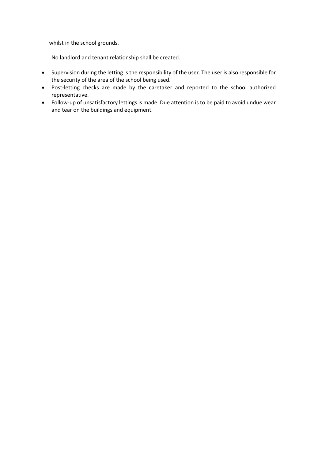whilst in the school grounds.

No landlord and tenant relationship shall be created.

- Supervision during the letting is the responsibility of the user. The user is also responsible for the security of the area of the school being used.
- Post-letting checks are made by the caretaker and reported to the school authorized representative.
- Follow-up of unsatisfactory lettings is made. Due attention is to be paid to avoid undue wear and tear on the buildings and equipment.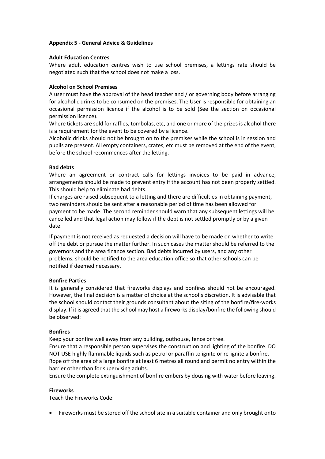# <span id="page-11-0"></span>**Appendix 5 - General Advice & Guidelines**

# **Adult Education Centres**

Where adult education centres wish to use school premises, a lettings rate should be negotiated such that the school does not make a loss.

# **Alcohol on School Premises**

A user must have the approval of the head teacher and / or governing body before arranging for alcoholic drinks to be consumed on the premises. The User is responsible for obtaining an occasional permission licence if the alcohol is to be sold (See the section on occasional permission licence).

Where tickets are sold for raffles, tombolas, etc, and one or more of the prizes is alcohol there is a requirement for the event to be covered by a licence.

Alcoholic drinks should not be brought on to the premises while the school is in session and pupils are present. All empty containers, crates, etc must be removed at the end of the event, before the school recommences after the letting.

# **Bad debts**

Where an agreement or contract calls for lettings invoices to be paid in advance, arrangements should be made to prevent entry if the account has not been properly settled. This should help to eliminate bad debts.

If charges are raised subsequent to a letting and there are difficulties in obtaining payment, two reminders should be sent after a reasonable period of time has been allowed for payment to be made. The second reminder should warn that any subsequent lettings will be cancelled and that legal action may follow if the debt is not settled promptly or by a given date.

If payment is not received as requested a decision will have to be made on whether to write off the debt or pursue the matter further. In such cases the matter should be referred to the governors and the area finance section. Bad debts incurred by users, and any other problems, should be notified to the area education office so that other schools can be notified if deemed necessary.

# **Bonfire Parties**

It is generally considered that fireworks displays and bonfires should not be encouraged. However, the final decision is a matter of choice at the school's discretion. It is advisable that the school should contact their grounds consultant about the siting of the bonfire/fire-works display. If it is agreed that the school may host a fireworks display/bonfire the following should be observed:

# **Bonfires**

Keep your bonfire well away from any building, outhouse, fence or tree.

Ensure that a responsible person supervises the construction and lighting of the bonfire. DO NOT USE highly flammable liquids such as petrol or paraffin to ignite or re-ignite a bonfire. Rope off the area of a large bonfire at least 6 metres all round and permit no entry within the barrier other than for supervising adults.

Ensure the complete extinguishment of bonfire embers by dousing with water before leaving.

# **Fireworks**

Teach the Fireworks Code:

• Fireworks must be stored off the school site in a suitable container and only brought onto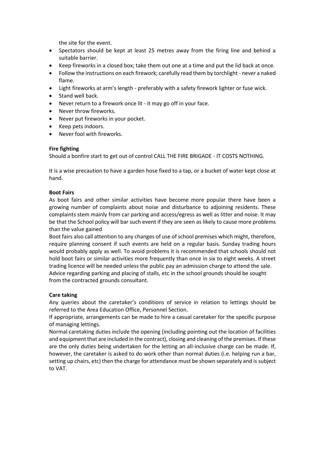the site for the event.

- Spectators should be kept at least 25 metres away from the firing line and behind a suitable barrier.
- Keep fireworks in a closed box; take them out one at a time and put the lid back at once.
- Follow the instructions on each firework; carefully read them by torchlight never a naked flame.
- Light fireworks at arm's length preferably with a safety firework lighter or fuse wick.
- Stand well back.
- Never return to a firework once lit it may go off in your face.
- Never throw fireworks.
- Never put fireworks in your pocket.
- Keep pets indoors.
- Never fool with fireworks.

# **Fire fighting**

Should a bonfire start to get out of control CALL THE FIRE BRIGADE - IT COSTS NOTHING.

It is a wise precaution to have a garden hose fixed to a tap, or a bucket of water kept close at hand.

# **Boot Fairs**

As boot fairs and other similar activities have become more popular there have been a growing number of complaints about noise and disturbance to adjoining residents. These complaints stem mainly from car parking and access/egress as well as litter and noise. It may be that the School policy will bar such event if they are seen as likely to cause more problems than the value gained

Boot fairs also call attention to any changes of use of school premises which might, therefore, require planning consent if such events are held on a regular basis. Sunday trading hours would probably apply as well. To avoid problems it is recommended that schools should not hold boot fairs or similar activities more frequently than once in six to eight weeks. A street trading licence will be needed unless the public pay an admission charge to attend the sale. Advice regarding parking and placing of stalls, etc in the school grounds should be sought from the contracted grounds consultant.

# **Care taking**

Any queries about the caretaker's conditions of service in relation to lettings should be referred to the Area Education Office, Personnel Section.

If appropriate, arrangements can be made to hire a casual caretaker for the specific purpose of managing lettings.

Normal caretaking duties include the opening (including pointing out the location of facilities and equipment that are included in the contract), closing and cleaning of the premises. If these are the only duties being undertaken for the letting an all-inclusive charge can be made. If, however, the caretaker is asked to do work other than normal duties (i.e. helping run a bar, setting up chairs, etc) then the charge for attendance must be shown separately and is subject to VAT.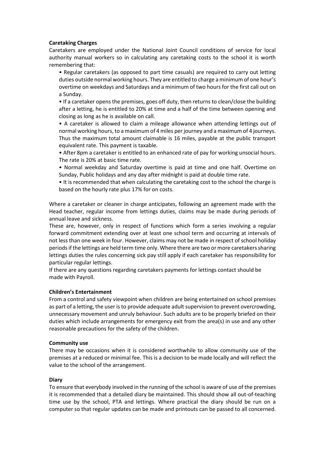# **Caretaking Charges**

Caretakers are employed under the National Joint Council conditions of service for local authority manual workers so in calculating any caretaking costs to the school it is worth remembering that:

• Regular caretakers (as opposed to part time casuals) are required to carry out letting duties outside normal working hours. They are entitled to charge a minimum of one hour's overtime on weekdays and Saturdays and a minimum of two hours for the first call out on a Sunday.

• If a caretaker opens the premises, goes off duty, then returns to clean/close the building after a letting, he is entitled to 20% at time and a half of the time between opening and closing as long as he is available on call.

• A caretaker is allowed to claim a mileage allowance when attending lettings out of normal working hours, to a maximum of 4 miles per journey and a maximum of 4 journeys. Thus the maximum total amount claimable is 16 miles, payable at the public transport equivalent rate. This payment is taxable.

• After 8pm a caretaker is entitled to an enhanced rate of pay for working unsocial hours. The rate is 20% at basic time rate.

• Normal weekday and Saturday overtime is paid at time and one half. Overtime on Sunday, Public holidays and any day after midnight is paid at double time rate.

• It is recommended that when calculating the caretaking cost to the school the charge is based on the hourly rate plus 17% for on costs.

Where a caretaker or cleaner in charge anticipates, following an agreement made with the Head teacher, regular income from lettings duties, claims may be made during periods of annual leave and sickness.

These are, however, only in respect of functions which form a series involving a regular forward commitment extending over at least one school term and occurring at intervals of not less than one week in four. However, claims may not be made in respect of school holiday periods if the lettings are held term time only. Where there are two or more caretakers sharing lettings duties the rules concerning sick pay still apply if each caretaker has responsibility for particular regular lettings.

If there are any questions regarding caretakers payments for lettings contact should be made with Payroll.

# **Children's Entertainment**

From a control and safety viewpoint when children are being entertained on school premises as part of a letting, the user is to provide adequate adult supervision to prevent overcrowding, unnecessary movement and unruly behaviour. Such adults are to be properly briefed on their duties which include arrangements for emergency exit from the area(s) in use and any other reasonable precautions for the safety of the children.

# **Community use**

There may be occasions when it is considered worthwhile to allow community use of the premises at a reduced or minimal fee. This is a decision to be made locally and will reflect the value to the school of the arrangement.

#### **Diary**

To ensure that everybody involved in the running of the school is aware of use of the premises it is recommended that a detailed diary be maintained. This should show all out-of-teaching time use by the school, PTA and lettings. Where practical the diary should be run on a computer so that regular updates can be made and printouts can be passed to all concerned.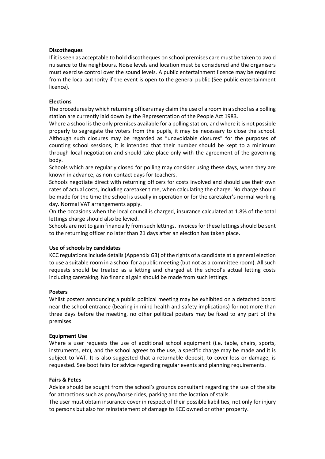#### **Discotheques**

If it is seen as acceptable to hold discotheques on school premises care must be taken to avoid nuisance to the neighbours. Noise levels and location must be considered and the organisers must exercise control over the sound levels. A public entertainment licence may be required from the local authority if the event is open to the general public (See public entertainment licence).

#### **Elections**

The procedures by which returning officers may claim the use of a room in a school as a polling station are currently laid down by the Representation of the People Act 1983.

Where a school is the only premises available for a polling station, and where it is not possible properly to segregate the voters from the pupils, it may be necessary to close the school. Although such closures may be regarded as "unavoidable closures" for the purposes of counting school sessions, it is intended that their number should be kept to a minimum through local negotiation and should take place only with the agreement of the governing body.

Schools which are regularly closed for polling may consider using these days, when they are known in advance, as non-contact days for teachers.

Schools negotiate direct with returning officers for costs involved and should use their own rates of actual costs, including caretaker time, when calculating the charge. No charge should be made for the time the school is usually in operation or for the caretaker's normal working day. Normal VAT arrangements apply.

On the occasions when the local council is charged, insurance calculated at 1.8% of the total lettings charge should also be levied.

Schools are not to gain financially from such lettings. Invoices for these lettings should be sent to the returning officer no later than 21 days after an election has taken place.

#### **Use of schools by candidates**

KCC regulations include details (Appendix G3) of the rights of a candidate at a general election to use a suitable room in a school for a public meeting (but not as a committee room). All such requests should be treated as a letting and charged at the school's actual letting costs including caretaking. No financial gain should be made from such lettings.

#### **Posters**

Whilst posters announcing a public political meeting may be exhibited on a detached board near the school entrance (bearing in mind health and safety implications) for not more than three days before the meeting, no other political posters may be fixed to any part of the premises.

#### **Equipment Use**

Where a user requests the use of additional school equipment (i.e. table, chairs, sports, instruments, etc), and the school agrees to the use, a specific charge may be made and it is subject to VAT. It is also suggested that a returnable deposit, to cover loss or damage, is requested. See boot fairs for advice regarding regular events and planning requirements.

#### **Fairs & Fetes**

Advice should be sought from the school's grounds consultant regarding the use of the site for attractions such as pony/horse rides, parking and the location of stalls.

The user must obtain insurance cover in respect of their possible liabilities, not only for injury to persons but also for reinstatement of damage to KCC owned or other property.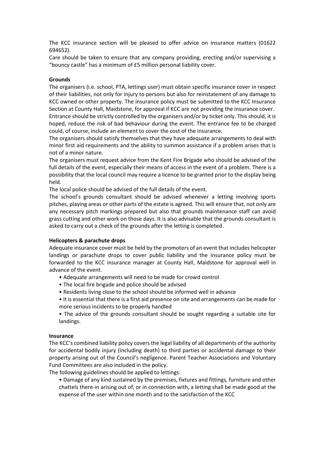The KCC insurance section will be pleased to offer advice on insurance matters (01622 694652).

Care should be taken to ensure that any company providing, erecting and/or supervising a "bouncy castle" has a minimum of £5 million personal liability cover.

#### **Grounds**

The organisers (i.e. school, PTA, lettings user) must obtain specific insurance cover in respect of their liabilities, not only for injury to persons but also for reinstatement of any damage to KCC owned or other property. The insurance policy must be submitted to the KCC Insurance Section at County Hall, Maidstone, for approval if KCC are not providing the insurance cover. Entrance should be strictly controlled by the organisers and/or by ticket only. This should, it is hoped, reduce the risk of bad behaviour during the event. The entrance fee to be charged

could, of course, include an element to cover the cost of the insurance.

The organisers should satisfy themselves that they have adequate arrangements to deal with minor first aid requirements and the ability to summon assistance if a problem arises that is not of a minor nature.

The organisers must request advice from the Kent Fire Brigade who should be advised of the full details of the event, especially their means of access in the event of a problem. There is a possibility that the local council may require a licence to be granted prior to the display being held.

The local police should be advised of the full details of the event.

The school's grounds consultant should be advised whenever a letting involving sports pitches, playing areas or other parts of the estate is agreed. This will ensure that, not only are any necessary pitch markings prepared but also that grounds maintenance staff can avoid grass cutting and other work on those days. It is also advisable that the grounds consultant is asked to carry out a check of the grounds after the letting is completed.

#### **Helicopters & parachute drops**

Adequate insurance cover must be held by the promoters of an event that includes helicopter landings or parachute drops to cover public liability and the insurance policy must be forwarded to the KCC insurance manager at County Hall, Maidstone for approval well in advance of the event.

- Adequate arrangements will need to be made for crowd control
- The local fire brigade and police should be advised
- Residents living close to the school should be informed well in advance
- It is essential that there is a first aid presence on site and arrangements can be made for more serious incidents to be properly handled
- The advice of the grounds consultant should be sought regarding a suitable site for landings.

# **Insurance**

The KCC's combined liability policy covers the legal liability of all departments of the authority for accidental bodily injury (including death) to third parties or accidental damage to their property arising out of the Council's negligence. Parent Teacher Associations and Voluntary Fund Committees are also included in the policy.

The following guidelines should be applied to lettings:

• Damage of any kind sustained by the premises, fixtures and fittings, furniture and other chattels there-in arising out of, or in connection with, a letting shall be made good at the expense of the user within one month and to the satisfaction of the KCC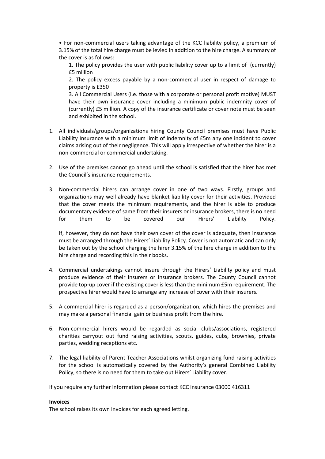• For non-commercial users taking advantage of the KCC liability policy, a premium of 3.15% of the total hire charge must be levied in addition to the hire charge. A summary of the cover is as follows:

1. The policy provides the user with public liability cover up to a limit of (currently) £5 million

2. The policy excess payable by a non-commercial user in respect of damage to property is £350

3. All Commercial Users (i.e. those with a corporate or personal profit motive) MUST have their own insurance cover including a minimum public indemnity cover of (currently) £5 million. A copy of the insurance certificate or cover note must be seen and exhibited in the school.

- 1. All individuals/groups/organizations hiring County Council premises must have Public Liability Insurance with a minimum limit of indemnity of £5m any one incident to cover claims arising out of their negligence. This will apply irrespective of whether the hirer is a non-commercial or commercial undertaking.
- 2. Use of the premises cannot go ahead until the school is satisfied that the hirer has met the Council's insurance requirements.
- 3. Non-commercial hirers can arrange cover in one of two ways. Firstly, groups and organizations may well already have blanket liability cover for their activities. Provided that the cover meets the minimum requirements, and the hirer is able to produce documentary evidence of same from their insurers or insurance brokers, there is no need for them to be covered our Hirers' Liability Policy.

If, however, they do not have their own cover of the cover is adequate, then insurance must be arranged through the Hirers' Liability Policy. Cover is not automatic and can only be taken out by the school charging the hirer 3.15% of the hire charge in addition to the hire charge and recording this in their books.

- 4. Commercial undertakings cannot insure through the Hirers' Liability policy and must produce evidence of their insurers or insurance brokers. The County Council cannot provide top-up cover if the existing cover is less than the minimum £5m requirement. The prospective hirer would have to arrange any increase of cover with their insurers.
- 5. A commercial hirer is regarded as a person/organization, which hires the premises and may make a personal financial gain or business profit from the hire.
- 6. Non-commercial hirers would be regarded as social clubs/associations, registered charities carryout out fund raising activities, scouts, guides, cubs, brownies, private parties, wedding receptions etc.
- 7. The legal liability of Parent Teacher Associations whilst organizing fund raising activities for the school is automatically covered by the Authority's general Combined Liability Policy, so there is no need for them to take out Hirers' Liability cover.

If you require any further information please contact KCC insurance 03000 416311

#### **Invoices**

The school raises its own invoices for each agreed letting.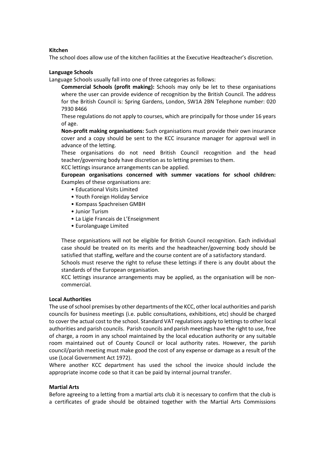#### **Kitchen**

The school does allow use of the kitchen facilities at the Executive Headteacher's discretion.

#### **Language Schools**

Language Schools usually fall into one of three categories as follows:

**Commercial Schools (profit making):** Schools may only be let to these organisations where the user can provide evidence of recognition by the British Council. The address for the British Council is: Spring Gardens, London, SW1A 2BN Telephone number: 020 7930 8466

These regulations do not apply to courses, which are principally for those under 16 years of age.

**Non-profit making organisations:** Such organisations must provide their own insurance cover and a copy should be sent to the KCC insurance manager for approval well in advance of the letting.

These organisations do not need British Council recognition and the head teacher/governing body have discretion as to letting premises to them.

KCC lettings insurance arrangements can be applied.

**European organisations concerned with summer vacations for school children:**  Examples of these organisations are:

- Educational Visits Limited
- Youth Foreign Holiday Service
- Kompass Spachreisen GMBH
- Junior Turism
- La Ligie Francais de L'Enseignment
- Eurolanguage Limited

These organisations will not be eligible for British Council recognition. Each individual case should be treated on its merits and the headteacher/governing body should be satisfied that staffing, welfare and the course content are of a satisfactory standard. Schools must reserve the right to refuse these lettings if there is any doubt about the standards of the European organisation.

KCC lettings insurance arrangements may be applied, as the organisation will be noncommercial.

#### **Local Authorities**

The use of school premises by other departments of the KCC, other local authorities and parish councils for business meetings (i.e. public consultations, exhibitions, etc) should be charged to cover the actual cost to the school. Standard VAT regulations apply to lettings to other local authorities and parish councils. Parish councils and parish meetings have the right to use, free of charge, a room in any school maintained by the local education authority or any suitable room maintained out of County Council or local authority rates. However, the parish council/parish meeting must make good the cost of any expense or damage as a result of the use (Local Government Act 1972).

Where another KCC department has used the school the invoice should include the appropriate income code so that it can be paid by internal journal transfer.

#### **Martial Arts**

Before agreeing to a letting from a martial arts club it is necessary to confirm that the club is a certificates of grade should be obtained together with the Martial Arts Commissions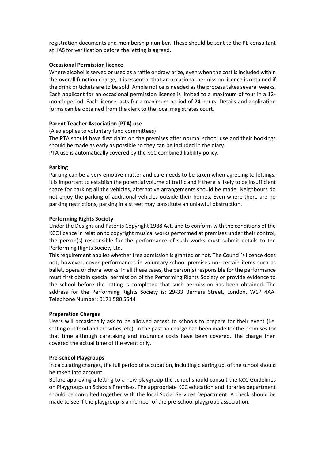registration documents and membership number. These should be sent to the PE consultant at KAS for verification before the letting is agreed.

# **Occasional Permission licence**

Where alcohol is served or used as a raffle or draw prize, even when the cost is included within the overall function charge, it is essential that an occasional permission licence is obtained if the drink or tickets are to be sold. Ample notice is needed as the process takes several weeks. Each applicant for an occasional permission licence is limited to a maximum of four in a 12 month period. Each licence lasts for a maximum period of 24 hours. Details and application forms can be obtained from the clerk to the local magistrates court.

#### **Parent Teacher Association (PTA) use**

(Also applies to voluntary fund committees)

The PTA should have first claim on the premises after normal school use and their bookings should be made as early as possible so they can be included in the diary.

PTA use is automatically covered by the KCC combined liability policy.

#### **Parking**

Parking can be a very emotive matter and care needs to be taken when agreeing to lettings. It is important to establish the potential volume of traffic and if there is likely to be insufficient space for parking all the vehicles, alternative arrangements should be made. Neighbours do not enjoy the parking of additional vehicles outside their homes. Even where there are no parking restrictions, parking in a street may constitute an unlawful obstruction.

#### **Performing Rights Society**

Under the Designs and Patents Copyright 1988 Act, and to conform with the conditions of the KCC licence in relation to copyright musical works performed at premises under their control, the person(s) responsible for the performance of such works must submit details to the Performing Rights Society Ltd.

This requirement applies whether free admission is granted or not. The Council's licence does not, however, cover performances in voluntary school premises nor certain items such as ballet, opera or choral works. In all these cases, the person(s) responsible for the performance must first obtain special permission of the Performing Rights Society or provide evidence to the school before the letting is completed that such permission has been obtained. The address for the Performing Rights Society is: 29-33 Berners Street, London, W1P 4AA. Telephone Number: 0171 580 5544

#### **Preparation Charges**

Users will occasionally ask to be allowed access to schools to prepare for their event (i.e. setting out food and activities, etc). In the past no charge had been made for the premises for that time although caretaking and insurance costs have been covered. The charge then covered the actual time of the event only.

# **Pre-school Playgroups**

In calculating charges, the full period of occupation, including clearing up, of the school should be taken into account.

Before approving a letting to a new playgroup the school should consult the KCC Guidelines on Playgroups on Schools Premises. The appropriate KCC education and libraries department should be consulted together with the local Social Services Department. A check should be made to see if the playgroup is a member of the pre-school playgroup association.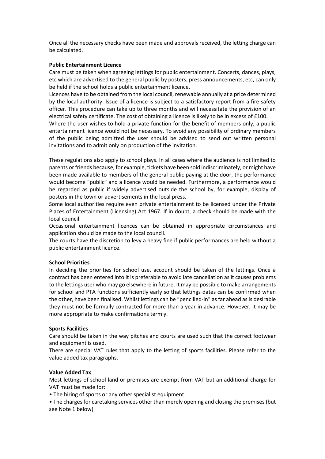Once all the necessary checks have been made and approvals received, the letting charge can be calculated.

# **Public Entertainment Licence**

Care must be taken when agreeing lettings for public entertainment. Concerts, dances, plays, etc which are advertised to the general public by posters, press announcements, etc, can only be held if the school holds a public entertainment licence.

Licences have to be obtained from the local council, renewable annually at a price determined by the local authority. Issue of a licence is subject to a satisfactory report from a fire safety officer. This procedure can take up to three months and will necessitate the provision of an electrical safety certificate. The cost of obtaining a licence is likely to be in excess of £100.

Where the user wishes to hold a private function for the benefit of members only, a public entertainment licence would not be necessary. To avoid any possibility of ordinary members of the public being admitted the user should be advised to send out written personal invitations and to admit only on production of the invitation.

These regulations also apply to school plays. In all cases where the audience is not limited to parents or friends because, for example, tickets have been sold indiscriminately, or might have been made available to members of the general public paying at the door, the performance would become "public" and a licence would be needed. Furthermore, a performance would be regarded as public if widely advertised outside the school by, for example, display of posters in the town or advertisements in the local press.

Some local authorities require even private entertainment to be licensed under the Private Places of Entertainment (Licensing) Act 1967. If in doubt, a check should be made with the local council.

Occasional entertainment licences can be obtained in appropriate circumstances and application should be made to the local council.

The courts have the discretion to levy a heavy fine if public performances are held without a public entertainment licence.

# **School Priorities**

In deciding the priorities for school use, account should be taken of the lettings. Once a contract has been entered into it is preferable to avoid late cancellation as it causes problems to the lettings user who may go elsewhere in future. It may be possible to make arrangements for school and PTA functions sufficiently early so that lettings dates can be confirmed when the other, have been finalised. Whilst lettings can be "pencilled-in" as far ahead as is desirable they must not be formally contracted for more than a year in advance. However, it may be more appropriate to make confirmations termly.

# **Sports Facilities**

Care should be taken in the way pitches and courts are used such that the correct footwear and equipment is used.

There are special VAT rules that apply to the letting of sports facilities. Please refer to the value added tax paragraphs.

# **Value Added Tax**

Most lettings of school land or premises are exempt from VAT but an additional charge for VAT must be made for:

• The hiring of sports or any other specialist equipment

• The charges for caretaking services other than merely opening and closing the premises (but see Note 1 below)